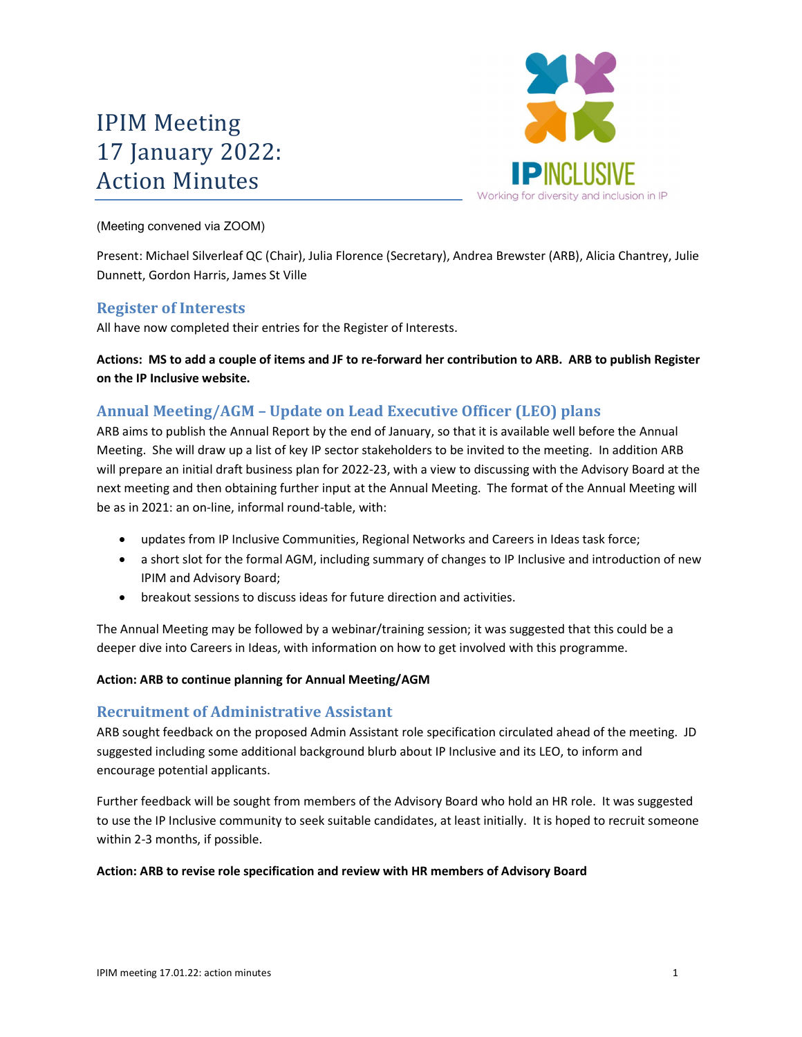# IPIM Meeting 17 January 2022: Action Minutes



(Meeting convened via ZOOM)

Present: Michael Silverleaf QC (Chair), Julia Florence (Secretary), Andrea Brewster (ARB), Alicia Chantrey, Julie Dunnett, Gordon Harris, James St Ville

## Register of Interests

All have now completed their entries for the Register of Interests.

Actions: MS to add a couple of items and JF to re-forward her contribution to ARB. ARB to publish Register on the IP Inclusive website.

## Annual Meeting/AGM – Update on Lead Executive Officer (LEO) plans

ARB aims to publish the Annual Report by the end of January, so that it is available well before the Annual Meeting. She will draw up a list of key IP sector stakeholders to be invited to the meeting. In addition ARB will prepare an initial draft business plan for 2022-23, with a view to discussing with the Advisory Board at the next meeting and then obtaining further input at the Annual Meeting. The format of the Annual Meeting will be as in 2021: an on-line, informal round-table, with:

- updates from IP Inclusive Communities, Regional Networks and Careers in Ideas task force;
- a short slot for the formal AGM, including summary of changes to IP Inclusive and introduction of new IPIM and Advisory Board;
- breakout sessions to discuss ideas for future direction and activities.

The Annual Meeting may be followed by a webinar/training session; it was suggested that this could be a deeper dive into Careers in Ideas, with information on how to get involved with this programme.

#### Action: ARB to continue planning for Annual Meeting/AGM

## Recruitment of Administrative Assistant

ARB sought feedback on the proposed Admin Assistant role specification circulated ahead of the meeting. JD suggested including some additional background blurb about IP Inclusive and its LEO, to inform and encourage potential applicants.

Further feedback will be sought from members of the Advisory Board who hold an HR role. It was suggested to use the IP Inclusive community to seek suitable candidates, at least initially. It is hoped to recruit someone within 2-3 months, if possible.

#### Action: ARB to revise role specification and review with HR members of Advisory Board